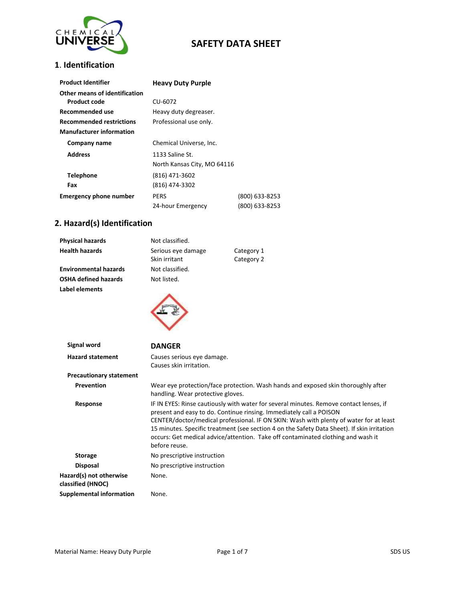

#### **1**. **Identification**

| <b>Product Identifier</b>       | <b>Heavy Duty Purple</b>    |                |
|---------------------------------|-----------------------------|----------------|
| Other means of identification   |                             |                |
| Product code                    | CU-6072                     |                |
| Recommended use                 | Heavy duty degreaser.       |                |
| <b>Recommended restrictions</b> | Professional use only.      |                |
| <b>Manufacturer information</b> |                             |                |
| Company name                    | Chemical Universe, Inc.     |                |
| <b>Address</b>                  | 1133 Saline St.             |                |
|                                 | North Kansas City, MO 64116 |                |
| <b>Telephone</b>                | (816) 471-3602              |                |
| Fax                             | (816) 474-3302              |                |
| <b>Emergency phone number</b>   | <b>PERS</b>                 | (800) 633-8253 |
|                                 | 24-hour Emergency           | (800) 633-8253 |

### **2. Hazard(s) Identification**

| <b>Physical hazards</b>      | Not classified.    |            |
|------------------------------|--------------------|------------|
| <b>Health hazards</b>        | Serious eye damage | Category 1 |
|                              | Skin irritant      | Category 2 |
| <b>Environmental hazards</b> | Not classified.    |            |
| <b>OSHA defined hazards</b>  | Not listed.        |            |
| Label elements               |                    |            |
| Signal word                  | <b>DANGER</b>      |            |
|                              |                    |            |

| <b>Hazard statement</b>                      | Causes serious eye damage.<br>Causes skin irritation.                                                                                                                                                                                                                                                                                                                                                                                                       |
|----------------------------------------------|-------------------------------------------------------------------------------------------------------------------------------------------------------------------------------------------------------------------------------------------------------------------------------------------------------------------------------------------------------------------------------------------------------------------------------------------------------------|
| <b>Precautionary statement</b>               |                                                                                                                                                                                                                                                                                                                                                                                                                                                             |
|                                              |                                                                                                                                                                                                                                                                                                                                                                                                                                                             |
| <b>Prevention</b>                            | Wear eye protection/face protection. Wash hands and exposed skin thoroughly after<br>handling. Wear protective gloves.                                                                                                                                                                                                                                                                                                                                      |
| Response                                     | IF IN EYES: Rinse cautiously with water for several minutes. Remove contact lenses, if<br>present and easy to do. Continue rinsing. Immediately call a POISON<br>CENTER/doctor/medical professional. IF ON SKIN: Wash with plenty of water for at least<br>15 minutes. Specific treatment (see section 4 on the Safety Data Sheet). If skin irritation<br>occurs: Get medical advice/attention. Take off contaminated clothing and wash it<br>before reuse. |
| <b>Storage</b>                               | No prescriptive instruction                                                                                                                                                                                                                                                                                                                                                                                                                                 |
| <b>Disposal</b>                              | No prescriptive instruction                                                                                                                                                                                                                                                                                                                                                                                                                                 |
| Hazard(s) not otherwise<br>classified (HNOC) | None.                                                                                                                                                                                                                                                                                                                                                                                                                                                       |
| Supplemental information                     | None.                                                                                                                                                                                                                                                                                                                                                                                                                                                       |
|                                              |                                                                                                                                                                                                                                                                                                                                                                                                                                                             |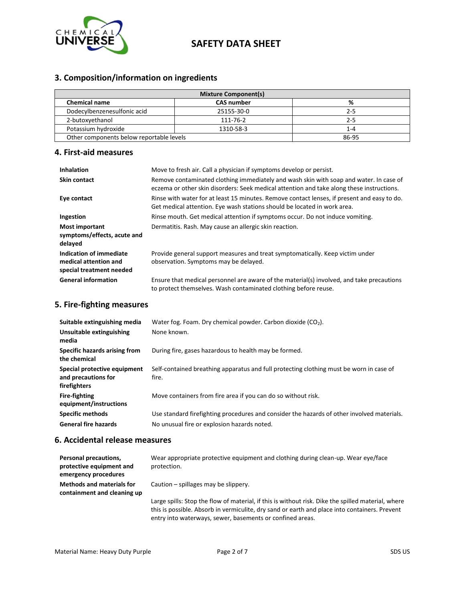

# **3. Composition/information on ingredients**

| <b>Mixture Component(s)</b>              |                   |         |
|------------------------------------------|-------------------|---------|
| <b>Chemical name</b>                     | <b>CAS number</b> | %       |
| Dodecylbenzenesulfonic acid              | 25155-30-0        | 2-5     |
| 2-butoxyethanol                          | 111-76-2          | 2-5     |
| Potassium hydroxide                      | 1310-58-3         | $1 - 4$ |
| Other components below reportable levels |                   | 86-95   |

#### **4. First-aid measures**

| <b>Inhalation</b>                                                            | Move to fresh air. Call a physician if symptoms develop or persist.                                                                                                                 |
|------------------------------------------------------------------------------|-------------------------------------------------------------------------------------------------------------------------------------------------------------------------------------|
| <b>Skin contact</b>                                                          | Remove contaminated clothing immediately and wash skin with soap and water. In case of<br>eczema or other skin disorders: Seek medical attention and take along these instructions. |
| Eye contact                                                                  | Rinse with water for at least 15 minutes. Remove contact lenses, if present and easy to do.<br>Get medical attention. Eye wash stations should be located in work area.             |
| Ingestion                                                                    | Rinse mouth. Get medical attention if symptoms occur. Do not induce vomiting.                                                                                                       |
| <b>Most important</b><br>symptoms/effects, acute and<br>delayed              | Dermatitis. Rash. May cause an allergic skin reaction.                                                                                                                              |
| Indication of immediate<br>medical attention and<br>special treatment needed | Provide general support measures and treat symptomatically. Keep victim under<br>observation. Symptoms may be delayed.                                                              |
| <b>General information</b>                                                   | Ensure that medical personnel are aware of the material(s) involved, and take precautions<br>to protect themselves. Wash contaminated clothing before reuse.                        |

#### **5. Fire-fighting measures**

| Suitable extinguishing media                                        | Water fog. Foam. Dry chemical powder. Carbon dioxide $(CO2)$ .                                   |
|---------------------------------------------------------------------|--------------------------------------------------------------------------------------------------|
| Unsuitable extinguishing<br>media                                   | None known.                                                                                      |
| Specific hazards arising from<br>the chemical                       | During fire, gases hazardous to health may be formed.                                            |
| Special protective equipment<br>and precautions for<br>firefighters | Self-contained breathing apparatus and full protecting clothing must be worn in case of<br>fire. |
| <b>Fire-fighting</b><br>equipment/instructions                      | Move containers from fire area if you can do so without risk.                                    |
| <b>Specific methods</b>                                             | Use standard firefighting procedures and consider the hazards of other involved materials.       |
| <b>General fire hazards</b>                                         | No unusual fire or explosion hazards noted.                                                      |

#### **6. Accidental release measures**

| Personal precautions,<br>protective equipment and<br>emergency procedures | Wear appropriate protective equipment and clothing during clean-up. Wear eye/face<br>protection.                                                                                                                                                                 |
|---------------------------------------------------------------------------|------------------------------------------------------------------------------------------------------------------------------------------------------------------------------------------------------------------------------------------------------------------|
| <b>Methods and materials for</b><br>containment and cleaning up           | Caution – spillages may be slippery.                                                                                                                                                                                                                             |
|                                                                           | Large spills: Stop the flow of material, if this is without risk. Dike the spilled material, where<br>this is possible. Absorb in vermiculite, dry sand or earth and place into containers. Prevent<br>entry into waterways, sewer, basements or confined areas. |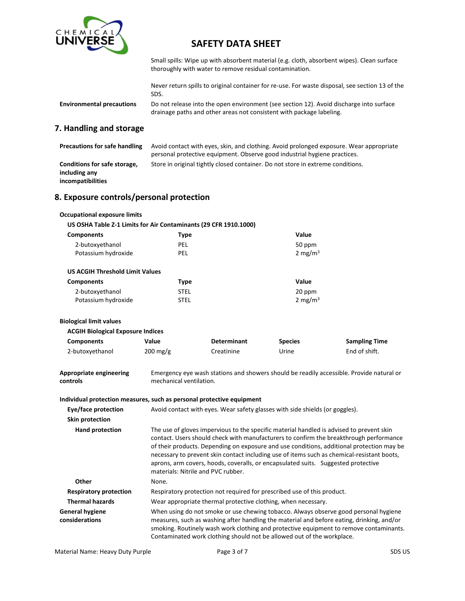

Small spills: Wipe up with absorbent material (e.g. cloth, absorbent wipes). Clean surface thoroughly with water to remove residual contamination.

Never return spills to original container for re-use. For waste disposal, see section 13 of the SDS.

**Environmental precautions** Do not release into the open environment (see section 12). Avoid discharge into surface drainage paths and other areas not consistent with package labeling.

#### **7. Handling and storage**

| <b>Precautions for safe handling</b>                               | Avoid contact with eyes, skin, and clothing. Avoid prolonged exposure. Wear appropriate<br>personal protective equipment. Observe good industrial hygiene practices. |
|--------------------------------------------------------------------|----------------------------------------------------------------------------------------------------------------------------------------------------------------------|
| Conditions for safe storage,<br>including any<br>incompatibilities | Store in original tightly closed container. Do not store in extreme conditions.                                                                                      |

#### **8. Exposure controls/personal protection**

| <b>Occupational exposure limits</b>                                   |                                                                                                                                                                                                                                                                                                                                                                                                                                                                                                          |                                                                              |                |                                                                                                                                                                                                                                                                             |
|-----------------------------------------------------------------------|----------------------------------------------------------------------------------------------------------------------------------------------------------------------------------------------------------------------------------------------------------------------------------------------------------------------------------------------------------------------------------------------------------------------------------------------------------------------------------------------------------|------------------------------------------------------------------------------|----------------|-----------------------------------------------------------------------------------------------------------------------------------------------------------------------------------------------------------------------------------------------------------------------------|
| US OSHA Table Z-1 Limits for Air Contaminants (29 CFR 1910.1000)      |                                                                                                                                                                                                                                                                                                                                                                                                                                                                                                          |                                                                              |                |                                                                                                                                                                                                                                                                             |
| <b>Components</b>                                                     | <b>Type</b>                                                                                                                                                                                                                                                                                                                                                                                                                                                                                              |                                                                              | Value          |                                                                                                                                                                                                                                                                             |
| 2-butoxyethanol                                                       | PEL                                                                                                                                                                                                                                                                                                                                                                                                                                                                                                      |                                                                              | 50 ppm         |                                                                                                                                                                                                                                                                             |
| Potassium hydroxide                                                   | PEL                                                                                                                                                                                                                                                                                                                                                                                                                                                                                                      |                                                                              | 2 mg/m $3$     |                                                                                                                                                                                                                                                                             |
| <b>US ACGIH Threshold Limit Values</b>                                |                                                                                                                                                                                                                                                                                                                                                                                                                                                                                                          |                                                                              |                |                                                                                                                                                                                                                                                                             |
| <b>Components</b>                                                     | <b>Type</b>                                                                                                                                                                                                                                                                                                                                                                                                                                                                                              |                                                                              | Value          |                                                                                                                                                                                                                                                                             |
| 2-butoxyethanol                                                       | <b>STEL</b>                                                                                                                                                                                                                                                                                                                                                                                                                                                                                              |                                                                              | 20 ppm         |                                                                                                                                                                                                                                                                             |
| Potassium hydroxide                                                   | <b>STEL</b>                                                                                                                                                                                                                                                                                                                                                                                                                                                                                              |                                                                              | 2 mg/m $3$     |                                                                                                                                                                                                                                                                             |
| <b>Biological limit values</b>                                        |                                                                                                                                                                                                                                                                                                                                                                                                                                                                                                          |                                                                              |                |                                                                                                                                                                                                                                                                             |
| <b>ACGIH Biological Exposure Indices</b>                              |                                                                                                                                                                                                                                                                                                                                                                                                                                                                                                          |                                                                              |                |                                                                                                                                                                                                                                                                             |
| <b>Components</b>                                                     | Value                                                                                                                                                                                                                                                                                                                                                                                                                                                                                                    | <b>Determinant</b>                                                           | <b>Species</b> | <b>Sampling Time</b>                                                                                                                                                                                                                                                        |
| 2-butoxyethanol                                                       | $200$ mg/g                                                                                                                                                                                                                                                                                                                                                                                                                                                                                               | Creatinine                                                                   | Urine          | End of shift.                                                                                                                                                                                                                                                               |
| <b>Appropriate engineering</b><br>controls                            | mechanical ventilation.                                                                                                                                                                                                                                                                                                                                                                                                                                                                                  |                                                                              |                | Emergency eye wash stations and showers should be readily accessible. Provide natural or                                                                                                                                                                                    |
| Individual protection measures, such as personal protective equipment |                                                                                                                                                                                                                                                                                                                                                                                                                                                                                                          |                                                                              |                |                                                                                                                                                                                                                                                                             |
| Eye/face protection                                                   |                                                                                                                                                                                                                                                                                                                                                                                                                                                                                                          | Avoid contact with eyes. Wear safety glasses with side shields (or goggles). |                |                                                                                                                                                                                                                                                                             |
| <b>Skin protection</b>                                                |                                                                                                                                                                                                                                                                                                                                                                                                                                                                                                          |                                                                              |                |                                                                                                                                                                                                                                                                             |
| <b>Hand protection</b>                                                | The use of gloves impervious to the specific material handled is advised to prevent skin<br>contact. Users should check with manufacturers to confirm the breakthrough performance<br>of their products. Depending on exposure and use conditions, additional protection may be<br>necessary to prevent skin contact including use of items such as chemical-resistant boots,<br>aprons, arm covers, hoods, coveralls, or encapsulated suits. Suggested protective<br>materials: Nitrile and PVC rubber. |                                                                              |                |                                                                                                                                                                                                                                                                             |
| Other                                                                 | None.                                                                                                                                                                                                                                                                                                                                                                                                                                                                                                    |                                                                              |                |                                                                                                                                                                                                                                                                             |
| <b>Respiratory protection</b>                                         |                                                                                                                                                                                                                                                                                                                                                                                                                                                                                                          | Respiratory protection not required for prescribed use of this product.      |                |                                                                                                                                                                                                                                                                             |
| <b>Thermal hazards</b>                                                |                                                                                                                                                                                                                                                                                                                                                                                                                                                                                                          | Wear appropriate thermal protective clothing, when necessary.                |                |                                                                                                                                                                                                                                                                             |
| <b>General hygiene</b><br>considerations                              |                                                                                                                                                                                                                                                                                                                                                                                                                                                                                                          | Contaminated work clothing should not be allowed out of the workplace.       |                | When using do not smoke or use chewing tobacco. Always observe good personal hygiene<br>measures, such as washing after handling the material and before eating, drinking, and/or<br>smoking. Routinely wash work clothing and protective equipment to remove contaminants. |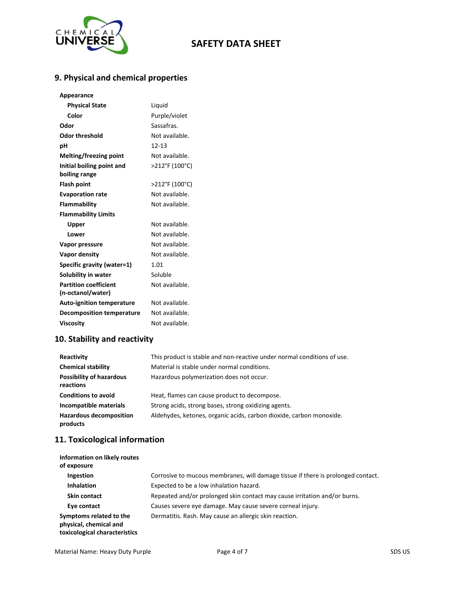

# **9. Physical and chemical properties**

| Appearance                       |                |
|----------------------------------|----------------|
| <b>Physical State</b>            | Liquid         |
| Color                            | Purple/violet  |
| Odor                             | Sassafras.     |
| Odor threshold                   | Not available. |
| рH                               | $12 - 13$      |
| Melting/freezing point           | Not available. |
| Initial boiling point and        | >212°F (100°C) |
| boiling range                    |                |
| <b>Flash point</b>               | >212°F (100°C) |
| <b>Evaporation rate</b>          | Not available. |
| Flammability                     | Not available. |
| <b>Flammability Limits</b>       |                |
| Upper                            | Not available. |
| Lower                            | Not available. |
| Vapor pressure                   | Not available. |
| Vapor density                    | Not available. |
| Specific gravity (water=1)       | 1.01           |
| Solubility in water              | Soluble        |
| <b>Partition coefficient</b>     | Not available. |
| (n-octanol/water)                |                |
| <b>Auto-ignition temperature</b> | Not available. |
| <b>Decomposition temperature</b> | Not available. |
| <b>Viscosity</b>                 | Not available. |

# **10. Stability and reactivity**

| Reactivity                                   | This product is stable and non-reactive under normal conditions of use. |
|----------------------------------------------|-------------------------------------------------------------------------|
| <b>Chemical stability</b>                    | Material is stable under normal conditions.                             |
| <b>Possibility of hazardous</b><br>reactions | Hazardous polymerization does not occur.                                |
| <b>Conditions to avoid</b>                   | Heat, flames can cause product to decompose.                            |
| Incompatible materials                       | Strong acids, strong bases, strong oxidizing agents.                    |
| <b>Hazardous decomposition</b><br>products   | Aldehydes, ketones, organic acids, carbon dioxide, carbon monoxide.     |

# **11. Toxicological information**

| Information on likely routes<br>of exposure                                        |                                                                                  |
|------------------------------------------------------------------------------------|----------------------------------------------------------------------------------|
| Ingestion                                                                          | Corrosive to mucous membranes, will damage tissue if there is prolonged contact. |
| <b>Inhalation</b>                                                                  | Expected to be a low inhalation hazard.                                          |
| <b>Skin contact</b>                                                                | Repeated and/or prolonged skin contact may cause irritation and/or burns.        |
| Eye contact                                                                        | Causes severe eye damage. May cause severe corneal injury.                       |
| Symptoms related to the<br>physical, chemical and<br>toxicological characteristics | Dermatitis. Rash. May cause an allergic skin reaction.                           |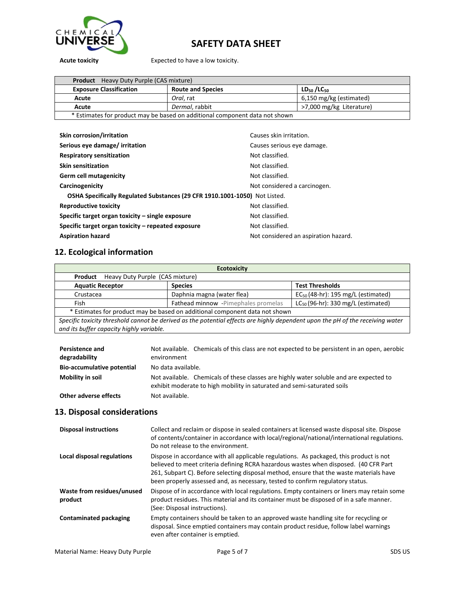

**Acute toxicity** Expected to have a low toxicity.

| <b>Product</b> Heavy Duty Purple (CAS mixture)                              |                          |                          |
|-----------------------------------------------------------------------------|--------------------------|--------------------------|
| <b>Exposure Classification</b>                                              | <b>Route and Species</b> | $LD_{50}/LC_{50}$        |
| Acute                                                                       | Oral. rat                | 6,150 mg/kg (estimated)  |
| Acute                                                                       | Dermal, rabbit           | >7,000 mg/kg Literature) |
| * Estimates for product may be based on additional component data not shown |                          |                          |

| Skin corrosion/irritation                                                  | Causes skin irritation.              |
|----------------------------------------------------------------------------|--------------------------------------|
| Serious eye damage/ irritation                                             | Causes serious eye damage.           |
| <b>Respiratory sensitization</b>                                           | Not classified.                      |
| <b>Skin sensitization</b>                                                  | Not classified.                      |
| Germ cell mutagenicity                                                     | Not classified.                      |
| Carcinogenicity                                                            | Not considered a carcinogen.         |
| OSHA Specifically Regulated Substances (29 CFR 1910.1001-1050) Not Listed. |                                      |
| <b>Reproductive toxicity</b>                                               | Not classified.                      |
| Specific target organ toxicity – single exposure                           | Not classified.                      |
| Specific target organ toxicity – repeated exposure                         | Not classified.                      |
| <b>Aspiration hazard</b>                                                   | Not considered an aspiration hazard. |

# **12. Ecological information**

| <b>Ecotoxicity</b>                                                                                                                                                         |                                     |                                         |
|----------------------------------------------------------------------------------------------------------------------------------------------------------------------------|-------------------------------------|-----------------------------------------|
| Heavy Duty Purple (CAS mixture)<br>Product                                                                                                                                 |                                     |                                         |
| <b>Aquatic Receptor</b>                                                                                                                                                    | <b>Species</b>                      | <b>Test Thresholds</b>                  |
| Crustacea                                                                                                                                                                  | Daphnia magna (water flea)          | $EC_{50}$ (48-hr): 195 mg/L (estimated) |
| Fish                                                                                                                                                                       | Fathead minnow -Pimephales promelas | $LC_{50}$ (96-hr): 330 mg/L (estimated) |
| * Estimates for product may be based on additional component data not shown                                                                                                |                                     |                                         |
| Specific toxicity threshold cannot be derived as the potential effects are highly dependent upon the pH of the receiving water<br>and its buffer capacity highly variable. |                                     |                                         |

| <b>Persistence and</b><br>degradability | Not available. Chemicals of this class are not expected to be persistent in an open, aerobic<br>environment                                                       |
|-----------------------------------------|-------------------------------------------------------------------------------------------------------------------------------------------------------------------|
| <b>Bio-accumulative potential</b>       | No data available.                                                                                                                                                |
| Mobility in soil                        | Not available. Chemicals of these classes are highly water soluble and are expected to<br>exhibit moderate to high mobility in saturated and semi-saturated soils |
| Other adverse effects                   | Not available.                                                                                                                                                    |

### **13. Disposal considerations**

| <b>Disposal instructions</b>          | Collect and reclaim or dispose in sealed containers at licensed waste disposal site. Dispose<br>of contents/container in accordance with local/regional/national/international regulations.<br>Do not release to the environment.                                                                                                                            |
|---------------------------------------|--------------------------------------------------------------------------------------------------------------------------------------------------------------------------------------------------------------------------------------------------------------------------------------------------------------------------------------------------------------|
| Local disposal regulations            | Dispose in accordance with all applicable regulations. As packaged, this product is not<br>believed to meet criteria defining RCRA hazardous wastes when disposed. (40 CFR Part<br>261, Subpart C). Before selecting disposal method, ensure that the waste materials have<br>been properly assessed and, as necessary, tested to confirm regulatory status. |
| Waste from residues/unused<br>product | Dispose of in accordance with local regulations. Empty containers or liners may retain some<br>product residues. This material and its container must be disposed of in a safe manner.<br>(See: Disposal instructions).                                                                                                                                      |
| <b>Contaminated packaging</b>         | Empty containers should be taken to an approved waste handling site for recycling or<br>disposal. Since emptied containers may contain product residue, follow label warnings<br>even after container is emptied.                                                                                                                                            |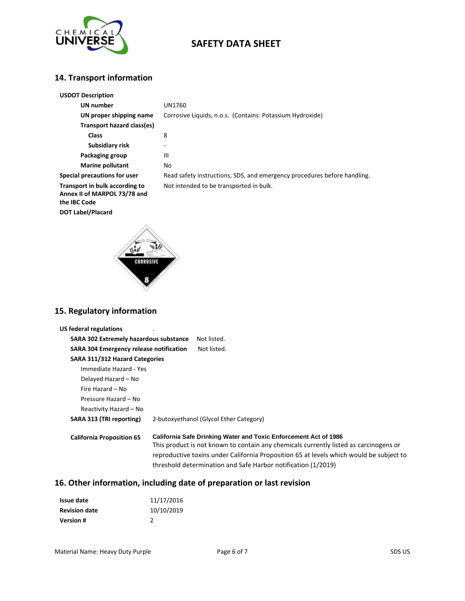

### **14. Transport information**

| <b>USDOT Description</b>                                                       |                                                                          |
|--------------------------------------------------------------------------------|--------------------------------------------------------------------------|
| UN number                                                                      | UN1760                                                                   |
| UN proper shipping name                                                        | Corrosive Liquids, n.o.s. (Contains: Potassium Hydroxide)                |
| Transport hazard class(es)                                                     |                                                                          |
| <b>Class</b>                                                                   | 8                                                                        |
| Subsidiary risk                                                                |                                                                          |
| Packaging group                                                                | $\mathbf{III}$                                                           |
| <b>Marine pollutant</b>                                                        | No                                                                       |
| Special precautions for user                                                   | Read safety instructions, SDS, and emergency procedures before handling. |
| Transport in bulk according to<br>Annex II of MARPOL 73/78 and<br>the IBC Code | Not intended to be transported in bulk.                                  |
| <b>DOT Label/Placard</b>                                                       |                                                                          |



### **15. Regulatory information**

| <b>SARA 302 Extremely hazardous substance</b><br>Not listed.                                                                                                                                                                                                                                                                 |
|------------------------------------------------------------------------------------------------------------------------------------------------------------------------------------------------------------------------------------------------------------------------------------------------------------------------------|
| <b>SARA 304 Emergency release notification</b><br>Not listed.                                                                                                                                                                                                                                                                |
| SARA 311/312 Hazard Categories                                                                                                                                                                                                                                                                                               |
|                                                                                                                                                                                                                                                                                                                              |
|                                                                                                                                                                                                                                                                                                                              |
|                                                                                                                                                                                                                                                                                                                              |
|                                                                                                                                                                                                                                                                                                                              |
|                                                                                                                                                                                                                                                                                                                              |
| 2-butoxyethanol (Glycol Ether Category)                                                                                                                                                                                                                                                                                      |
| <b>California Safe Drinking Water and Toxic Enforcement Act of 1986</b><br>This product is not known to contain any chemicals currently listed as carcinogens or<br>reproductive toxins under California Proposition 65 at levels which would be subject to<br>threshold determination and Safe Harbor notification (1/2019) |
|                                                                                                                                                                                                                                                                                                                              |

# **16. Other information, including date of preparation or last revision**

| Issue date           | 11/17/2016 |
|----------------------|------------|
| <b>Revision date</b> | 10/10/2019 |
| <b>Version #</b>     | 2          |